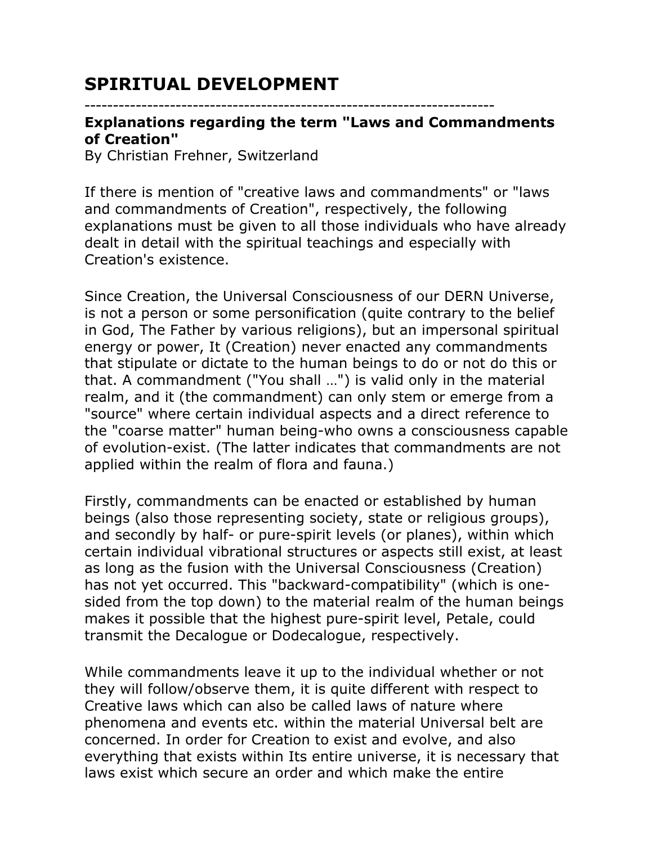## **SPIRITUAL DEVELOPMENT**

## ------------------------------------------------------------------------

## **Explanations regarding the term "Laws and Commandments of Creation"**

By Christian Frehner, Switzerland

If there is mention of "creative laws and commandments" or "laws and commandments of Creation", respectively, the following explanations must be given to all those individuals who have already dealt in detail with the spiritual teachings and especially with Creation's existence.

Since Creation, the Universal Consciousness of our DERN Universe, is not a person or some personification (quite contrary to the belief in God, The Father by various religions), but an impersonal spiritual energy or power, It (Creation) never enacted any commandments that stipulate or dictate to the human beings to do or not do this or that. A commandment ("You shall …") is valid only in the material realm, and it (the commandment) can only stem or emerge from a "source" where certain individual aspects and a direct reference to the "coarse matter" human being-who owns a consciousness capable of evolution-exist. (The latter indicates that commandments are not applied within the realm of flora and fauna.)

Firstly, commandments can be enacted or established by human beings (also those representing society, state or religious groups), and secondly by half- or pure-spirit levels (or planes), within which certain individual vibrational structures or aspects still exist, at least as long as the fusion with the Universal Consciousness (Creation) has not yet occurred. This "backward-compatibility" (which is onesided from the top down) to the material realm of the human beings makes it possible that the highest pure-spirit level, Petale, could transmit the Decalogue or Dodecalogue, respectively.

While commandments leave it up to the individual whether or not they will follow/observe them, it is quite different with respect to Creative laws which can also be called laws of nature where phenomena and events etc. within the material Universal belt are concerned. In order for Creation to exist and evolve, and also everything that exists within Its entire universe, it is necessary that laws exist which secure an order and which make the entire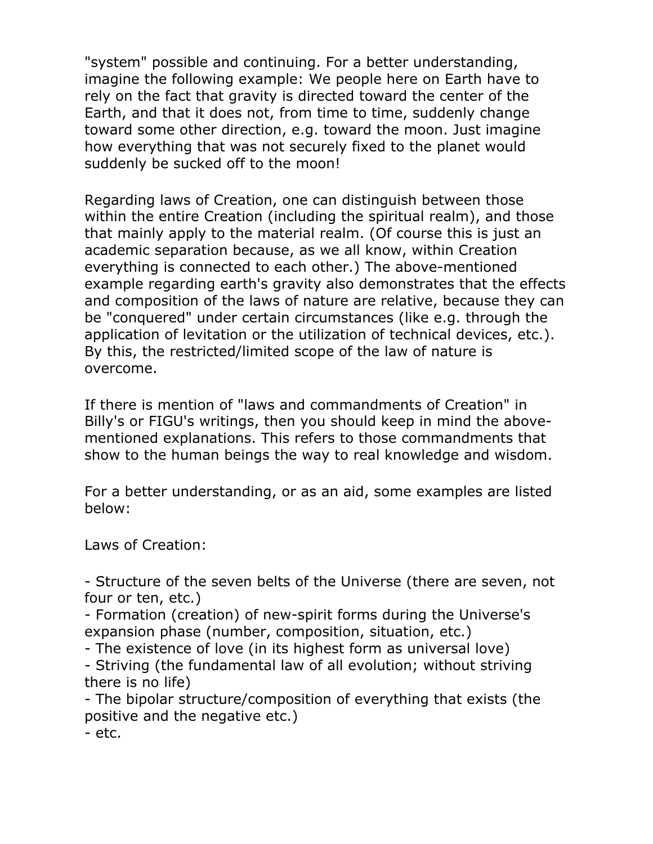"system" possible and continuing. For a better understanding, imagine the following example: We people here on Earth have to rely on the fact that gravity is directed toward the center of the Earth, and that it does not, from time to time, suddenly change toward some other direction, e.g. toward the moon. Just imagine how everything that was not securely fixed to the planet would suddenly be sucked off to the moon!

Regarding laws of Creation, one can distinguish between those within the entire Creation (including the spiritual realm), and those that mainly apply to the material realm. (Of course this is just an academic separation because, as we all know, within Creation everything is connected to each other.) The above-mentioned example regarding earth's gravity also demonstrates that the effects and composition of the laws of nature are relative, because they can be "conquered" under certain circumstances (like e.g. through the application of levitation or the utilization of technical devices, etc.). By this, the restricted/limited scope of the law of nature is overcome.

If there is mention of "laws and commandments of Creation" in Billy's or FIGU's writings, then you should keep in mind the abovementioned explanations. This refers to those commandments that show to the human beings the way to real knowledge and wisdom.

For a better understanding, or as an aid, some examples are listed below:

Laws of Creation:

- Structure of the seven belts of the Universe (there are seven, not four or ten, etc.)

- Formation (creation) of new-spirit forms during the Universe's expansion phase (number, composition, situation, etc.)

- The existence of love (in its highest form as universal love)

- Striving (the fundamental law of all evolution; without striving there is no life)

- The bipolar structure/composition of everything that exists (the positive and the negative etc.)

- etc.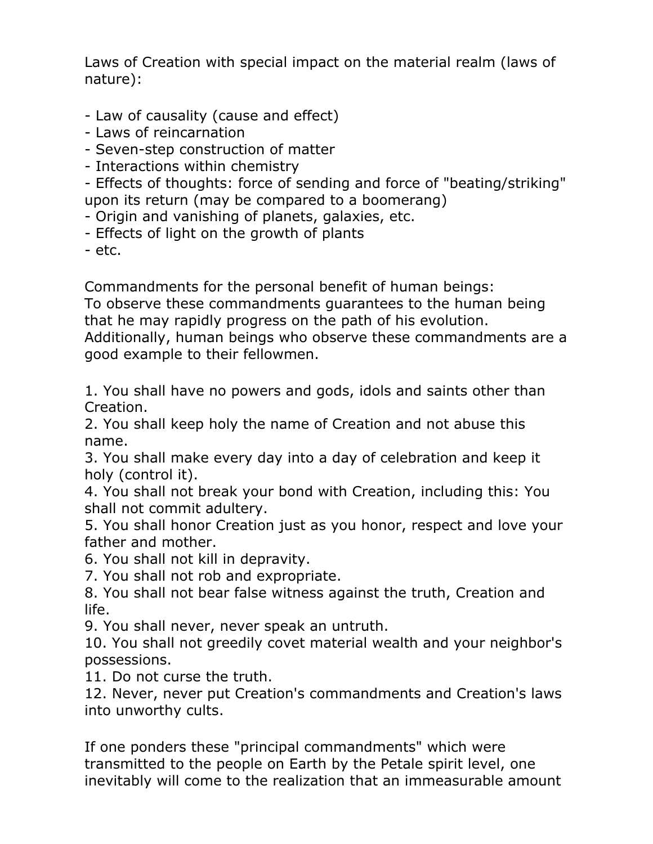Laws of Creation with special impact on the material realm (laws of nature):

- Law of causality (cause and effect)

- Laws of reincarnation

- Seven-step construction of matter

- Interactions within chemistry

- Effects of thoughts: force of sending and force of "beating/striking" upon its return (may be compared to a boomerang)

- Origin and vanishing of planets, galaxies, etc.

- Effects of light on the growth of plants

 $-$  etc.

Commandments for the personal benefit of human beings: To observe these commandments guarantees to the human being that he may rapidly progress on the path of his evolution. Additionally, human beings who observe these commandments are a good example to their fellowmen.

1. You shall have no powers and gods, idols and saints other than Creation.

2. You shall keep holy the name of Creation and not abuse this name.

3. You shall make every day into a day of celebration and keep it holy (control it).

4. You shall not break your bond with Creation, including this: You shall not commit adultery.

5. You shall honor Creation just as you honor, respect and love your father and mother.

6. You shall not kill in depravity.

7. You shall not rob and expropriate.

8. You shall not bear false witness against the truth, Creation and life.

9. You shall never, never speak an untruth.

10. You shall not greedily covet material wealth and your neighbor's possessions.

11. Do not curse the truth.

12. Never, never put Creation's commandments and Creation's laws into unworthy cults.

If one ponders these "principal commandments" which were transmitted to the people on Earth by the Petale spirit level, one inevitably will come to the realization that an immeasurable amount